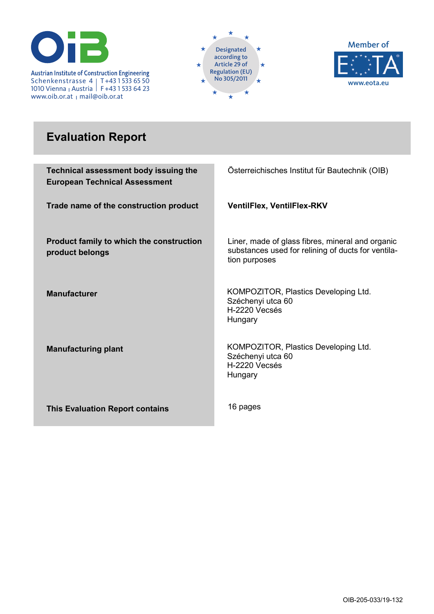

Regulation (EU) **INSTITUT FÜR BAUTECHN**No 305/2011 **IK** Schenkenstrasse 4 1010 Vienna <sub>I</sub> Austria T+43 1 533 65 50 F+43 1 533 64 23 www.oib.or.at <sub>Ι</sub> mail@oib.or.at





# **Evaluation Report**

| Technical assessment body issuing the<br><b>European Technical Assessment</b> | Österreichisches Institut für Bautechnik (OIB)                                                                          |
|-------------------------------------------------------------------------------|-------------------------------------------------------------------------------------------------------------------------|
| Trade name of the construction product                                        | <b>VentilFlex, VentilFlex-RKV</b>                                                                                       |
| Product family to which the construction<br>product belongs                   | Liner, made of glass fibres, mineral and organic<br>substances used for relining of ducts for ventila-<br>tion purposes |
| <b>Manufacturer</b>                                                           | KOMPOZITOR, Plastics Developing Ltd.<br>Széchenyi utca 60<br>H-2220 Vecsés<br>Hungary                                   |
| <b>Manufacturing plant</b>                                                    | KOMPOZITOR, Plastics Developing Ltd.<br>Széchenyi utca 60<br>H-2220 Vecsés<br>Hungary                                   |
| <b>This Evaluation Report contains</b>                                        | 16 pages                                                                                                                |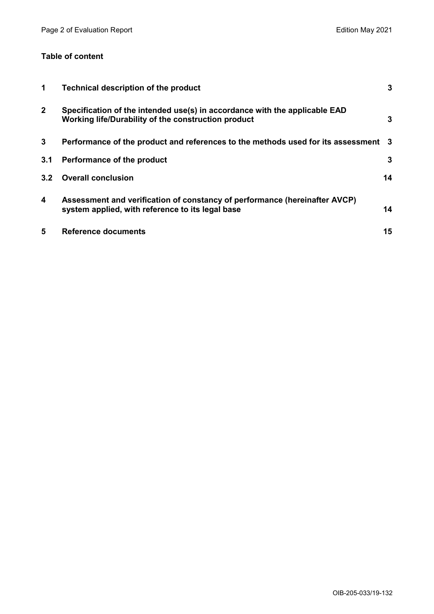# **Table of content**

| $\blacktriangleleft$ | <b>Technical description of the product</b>                                                                                       | 3  |
|----------------------|-----------------------------------------------------------------------------------------------------------------------------------|----|
| $\mathbf{2}$         | Specification of the intended use(s) in accordance with the applicable EAD<br>Working life/Durability of the construction product | 3  |
| 3                    | Performance of the product and references to the methods used for its assessment 3                                                |    |
| 3.1                  | Performance of the product                                                                                                        | 3  |
| 3.2                  | <b>Overall conclusion</b>                                                                                                         | 14 |
| 4                    | Assessment and verification of constancy of performance (hereinafter AVCP)<br>system applied, with reference to its legal base    | 14 |
| 5                    | <b>Reference documents</b>                                                                                                        | 15 |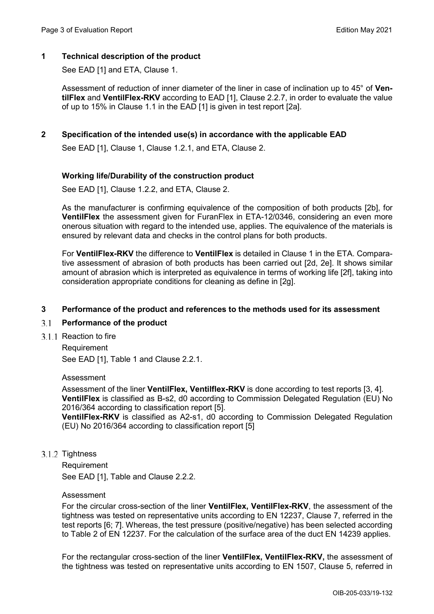# **1 Technical description of the product**

See EAD [1] and ETA, Clause 1.

Assessment of reduction of inner diameter of the liner in case of inclination up to 45° of **VentilFlex** and **VentilFlex-RKV** according to EAD [1], Clause 2.2.7, in order to evaluate the value of up to 15% in Clause 1.1 in the EAD [1] is given in test report [2a].

# **2 Specification of the intended use(s) in accordance with the applicable EAD**

See EAD [1], Clause 1, Clause 1.2.1, and ETA, Clause 2.

# **Working life/Durability of the construction product**

See EAD [1], Clause 1.2.2, and ETA, Clause 2.

As the manufacturer is confirming equivalence of the composition of both products [2b], for **VentilFlex** the assessment given for FuranFlex in ETA-12/0346, considering an even more onerous situation with regard to the intended use, applies. The equivalence of the materials is ensured by relevant data and checks in the control plans for both products.

For **VentilFlex-RKV** the difference to **VentilFlex** is detailed in Clause 1 in the ETA. Comparative assessment of abrasion of both products has been carried out [2d, 2e]. It shows similar amount of abrasion which is interpreted as equivalence in terms of working life [2f], taking into consideration appropriate conditions for cleaning as define in [2g].

# **3 Performance of the product and references to the methods used for its assessment**

#### $3.1$ **Performance of the product**

3.1.1 Reaction to fire

Requirement See EAD [1], Table 1 and Clause 2.2.1.

Assessment

Assessment of the liner **VentilFlex, Ventilflex-RKV** is done according to test reports [3, 4]. **VentilFlex** is classified as B-s2, d0 according to Commission Delegated Regulation (EU) No 2016/364 according to classification report [5].

**VentilFlex-RKV** is classified as A2-s1, d0 according to Commission Delegated Regulation (EU) No 2016/364 according to classification report [5]

# 3.1.2 Tightness

Requirement See EAD [1], Table and Clause 2.2.2.

#### Assessment

For the circular cross-section of the liner **VentilFlex, VentilFlex-RKV**, the assessment of the tightness was tested on representative units according to EN 12237, Clause 7, referred in the test reports [6; 7]. Whereas, the test pressure (positive/negative) has been selected according to Table 2 of EN 12237. For the calculation of the surface area of the duct EN 14239 applies.

For the rectangular cross-section of the liner **VentilFlex, VentilFlex-RKV,** the assessment of the tightness was tested on representative units according to EN 1507, Clause 5, referred in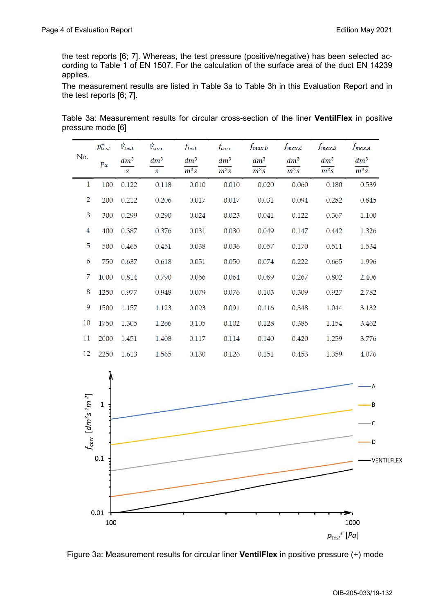the test reports [6; 7]. Whereas, the test pressure (positive/negative) has been selected according to Table 1 of EN 1507. For the calculation of the surface area of the duct EN 14239 applies.

The measurement results are listed in Table 3a to Table 3h in this Evaluation Report and in the test reports [6; 7].

|  | Table 3a: Measurement results for circular cross-section of the liner <b>VentilFlex</b> in positive |  |  |  |  |  |
|--|-----------------------------------------------------------------------------------------------------|--|--|--|--|--|
|  | pressure mode [6]                                                                                   |  |  |  |  |  |
|  |                                                                                                     |  |  |  |  |  |

|                | $p_{test}^+$ | $V_{test}$   | $V_{corr}$    | f <sub>test</sub> | $f_{corr}$ | $f_{max,D}$       | $f_{max,C}$ | $f_{max,B}$ | $f_{max,A}$       |
|----------------|--------------|--------------|---------------|-------------------|------------|-------------------|-------------|-------------|-------------------|
| No.            | Pa           | $dm^3$       | $dm^3$        | $dm^3$            | $dm^3$     | $dm^3$            | $dm^3$      | $dm^3$      | $dm^3$            |
|                |              | $\mathbf{S}$ | $\mathcal{S}$ | $\overline{m^2s}$ | $m^2s$     | $\overline{m^2s}$ | $m^2s$      | $m^2s$      | $\overline{m^2s}$ |
| 1              | 100          | 0.122        | 0.118         | 0.010             | 0.010      | 0.020             | 0.060       | 0.180       | 0.539             |
| $\overline{2}$ | 200          | 0.212        | 0.206         | 0.017             | 0.017      | 0.031             | 0.094       | 0.282       | 0.845             |
| 3              | 300          | 0.299        | 0.290         | 0.024             | 0.023      | 0.041             | 0.122       | 0.367       | 1.100             |
| 4              | 400          | 0.387        | 0.376         | 0.031             | 0.030      | 0.049             | 0.147       | 0.442       | 1.326             |
| 5              | 500          | 0.465        | 0.451         | 0.038             | 0.036      | 0.057             | 0.170       | 0.511       | 1.534             |
| 6              | 750          | 0.637        | 0.618         | 0.051             | 0.050      | 0.074             | 0.222       | 0.665       | 1.996             |
| 7              | 1000         | 0.814        | 0.790         | 0.066             | 0.064      | 0.089             | 0.267       | 0.802       | 2.406             |
| 8              | 1250         | 0.977        | 0.948         | 0.079             | 0.076      | 0.103             | 0.309       | 0.927       | 2.782             |
| 9              | 1500         | 1.157        | 1.123         | 0.093             | 0.091      | 0.116             | 0.348       | 1.044       | 3.132             |
| 10             | 1750         | 1.305        | 1.266         | 0.105             | 0.102      | 0.128             | 0.385       | 1.154       | 3.462             |
| 11             | 2000         | 1.451        | 1.408         | 0.117             | 0.114      | 0.140             | 0.420       | 1.259       | 3.776             |
| 12             | 2250         | 1.613        | 1.565         | 0.130             | 0.126      | 0.151             | 0.453       | 1.359       | 4.076             |



Figure 3a: Measurement results for circular liner **VentilFlex** in positive pressure (+) mode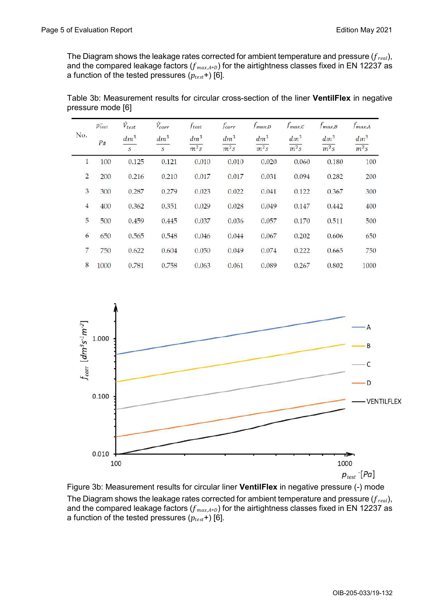The Diagram shows the leakage rates corrected for ambient temperature and pressure ( $f_{real}$ ), and the compared leakage factors  $(f_{max,A=D})$  for the airtightness classes fixed in EN 12237 as a function of the tested pressures  $(p_{test}+)$  [6].

|                | $\bar{p_{test}}$ | $\dot{V}_{test}$            | $\dot{V}_{corr}$ | ftest             | fcorr             | $f_{max,D}$       | $f_{max,C}$       | $f_{max,B}$ | $f_{max,A}$       |
|----------------|------------------|-----------------------------|------------------|-------------------|-------------------|-------------------|-------------------|-------------|-------------------|
| No.            | Pa               | $dm^3$                      | $dm^3$           | $dm^3$            | $dm^3$            | $dm^3$            | $dm^3$            | $dm^3$      | $dm^3$            |
|                |                  | $\mathcal{S}_{\mathcal{S}}$ | $\mathcal{S}$    | $\overline{m^2s}$ | $\overline{m^2s}$ | $\overline{m^2s}$ | $\overline{m^2s}$ | $m^2s$      | $\overline{m^2s}$ |
| 1              | 100              | 0.125                       | 0.121            | 0.010             | 0.010             | 0.020             | 0.060             | 0.180       | 100               |
| $\overline{2}$ | 200              | 0.216                       | 0.210            | 0.017             | 0.017             | 0.031             | 0.094             | 0.282       | 200               |
| 3              | 300              | 0.287                       | 0.279            | 0.023             | 0.022             | 0.041             | 0.122             | 0.367       | 300               |
| $\overline{4}$ | 400              | 0.362                       | 0.351            | 0.029             | 0.028             | 0.049             | 0.147             | 0.442       | 400               |
| 5              | 500              | 0.459                       | 0.445            | 0.037             | 0.036             | 0.057             | 0.170             | 0.511       | 500               |
| 6              | 650              | 0.565                       | 0.548            | 0.046             | 0.044             | 0.067             | 0.202             | 0.606       | 650               |
| $\overline{7}$ | 750              | 0.622                       | 0.604            | 0.050             | 0.049             | 0.074             | 0.222             | 0.665       | 750               |
| 8              | 1000             | 0.781                       | 0.758            | 0.063             | 0.061             | 0.089             | 0.267             | 0.802       | 1000              |

Table 3b: Measurement results for circular cross-section of the liner **VentilFlex** in negative pressure mode [6]



Figure 3b: Measurement results for circular liner **VentilFlex** in negative pressure (-) mode The Diagram shows the leakage rates corrected for ambient temperature and pressure  $(f_{real})$ , and the compared leakage factors ( $f_{max,A+b}$ ) for the airtightness classes fixed in EN 12237 as a function of the tested pressures  $(p_{test}+)$  [6].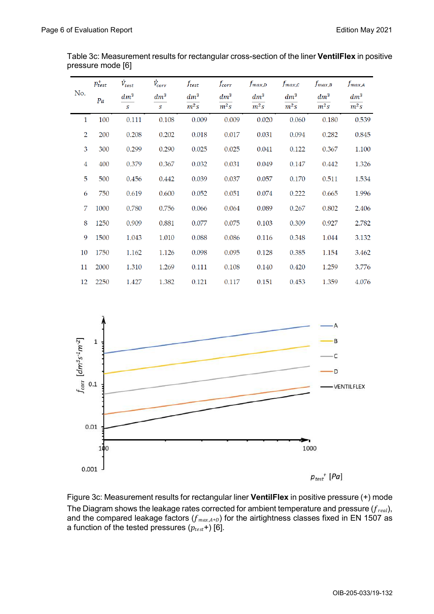|                | $p_{test}^+$ | $\dot{V}_{test}$ | $\dot{V}_{corr}$ | $f_{\mathit{test}}$ | fcorr             | $f_{max,D}$       | $f_{max,C}$       | $f_{max,B}$       | $f_{max,A}$       |
|----------------|--------------|------------------|------------------|---------------------|-------------------|-------------------|-------------------|-------------------|-------------------|
| No.            | Pa           | $dm^3$           | $dm^3$           | $dm^3$              | $dm^3$            | $dm^3$            | $dm^3$            | $dm^3$            | $dm^3$            |
|                |              | $\mathcal{S}$    | $\mathcal{S}$    | $\overline{m^2s}$   | $\overline{m^2s}$ | $\overline{m^2s}$ | $\overline{m^2s}$ | $\overline{m^2s}$ | $\overline{m^2s}$ |
| $\mathbf{1}$   | 100          | 0.111            | 0.108            | 0.009               | 0.009             | 0.020             | 0.060             | 0.180             | 0.539             |
| $\overline{2}$ | 200          | 0.208            | 0.202            | 0.018               | 0.017             | 0.031             | 0.094             | 0.282             | 0.845             |
| 3              | 300          | 0.299            | 0.290            | 0.025               | 0.025             | 0.041             | 0.122             | 0.367             | 1.100             |
| $\overline{4}$ | 400          | 0.379            | 0.367            | 0.032               | 0.031             | 0.049             | 0.147             | 0.442             | 1.326             |
| 5              | 500          | 0.456            | 0.442            | 0.039               | 0.037             | 0.057             | 0.170             | 0.511             | 1.534             |
| 6              | 750          | 0.619            | 0.600            | 0.052               | 0.051             | 0.074             | 0.222             | 0.665             | 1.996             |
| 7              | 1000         | 0.780            | 0.756            | 0.066               | 0.064             | 0.089             | 0.267             | 0.802             | 2.406             |
| 8              | 1250         | 0.909            | 0.881            | 0.077               | 0.075             | 0.103             | 0.309             | 0.927             | 2.782             |
| 9              | 1500         | 1.043            | 1.010            | 0.088               | 0.086             | 0.116             | 0.348             | 1.044             | 3.132             |
| 10             | 1750         | 1.162            | 1.126            | 0.098               | 0.095             | 0.128             | 0.385             | 1.154             | 3.462             |
| 11             | 2000         | 1.310            | 1.269            | 0.111               | 0.108             | 0.140             | 0.420             | 1.259             | 3.776             |
| 12             | 2250         | 1.427            | 1.382            | 0.121               | 0.117             | 0.151             | 0.453             | 1.359             | 4.076             |

Table 3c: Measurement results for rectangular cross-section of the liner **VentilFlex** in positive pressure mode [6]



Figure 3c: Measurement results for rectangular liner **VentilFlex** in positive pressure (+) mode The Diagram shows the leakage rates corrected for ambient temperature and pressure  $(f_{real})$ , and the compared leakage factors ( $f_{max,A+D}$ ) for the airtightness classes fixed in EN 1507 as a function of the tested pressures  $(p_{test}+)$  [6].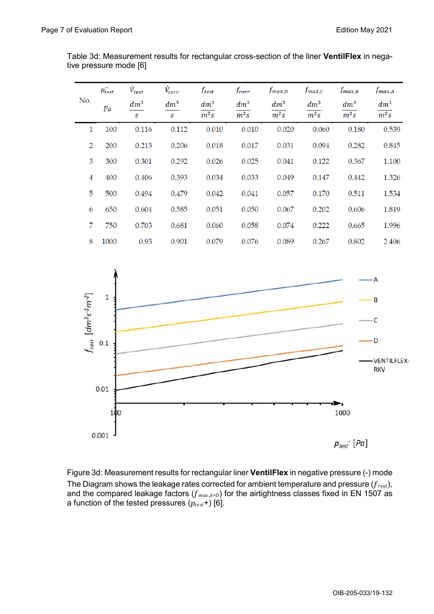|                | $p_{test}^-$ | $\dot{V}_{test}$       | $\dot{V}_{corr}$        | $f_{\mathit{test}}$ | $f_{corr}$       | $f_{max,D}$      | $f_{max,C}$      | $f_{max,B}$      | $f_{max,A}$                 |
|----------------|--------------|------------------------|-------------------------|---------------------|------------------|------------------|------------------|------------------|-----------------------------|
| No.            | Pa           | $dm^3$<br>$\mathbf{s}$ | $dm^3$<br>$\mathcal{S}$ | $dm^3$<br>$m^2s$    | $dm^3$<br>$m^2s$ | $dm^3$<br>$m^2s$ | $dm^3$<br>$m^2s$ | $dm^3$<br>$m^2s$ | $dm^3$<br>$\overline{m^2s}$ |
| 1              | 100          | 0.116                  | 0.112                   | 0.010               | 0.010            | 0.020            | 0.060            | 0.180            | 0.539                       |
| $\overline{2}$ | 200          | 0.213                  | 0.206                   | 0.018               | 0.017            | 0.031            | 0.094            | 0.282            | 0.845                       |
| 3              | 300          | 0.301                  | 0.292                   | 0.026               | 0.025            | 0.041            | 0.122            | 0.367            | 1.100                       |
| 4              | 400          | 0.406                  | 0.393                   | 0.034               | 0.033            | 0.049            | 0.147            | 0.442            | 1.326                       |
| 5              | 500          | 0.494                  | 0.479                   | 0.042               | 0.041            | 0.057            | 0.170            | 0.511            | 1.534                       |
| 6              | 650          | 0.604                  | 0.585                   | 0.051               | 0.050            | 0.067            | 0.202            | 0.606            | 1.819                       |
| 7              | 750          | 0.703                  | 0.681                   | 0.060               | 0.058            | 0.074            | 0.222            | 0.665            | 1.996                       |
| 8              | 1000         | 0.93                   | 0.901                   | 0.079               | 0.076            | 0.089            | 0.267            | 0.802            | 2.406                       |

Table 3d: Measurement results for rectangular cross-section of the liner **VentilFlex** in negative pressure mode [6]



Figure 3d: Measurement results for rectangular liner **VentilFlex** in negative pressure (-) mode The Diagram shows the leakage rates corrected for ambient temperature and pressure ( $f_{real}$ ), and the compared leakage factors ( $f_{max,A+D}$ ) for the airtightness classes fixed in EN 1507 as a function of the tested pressures  $(p_{test}+)$  [6].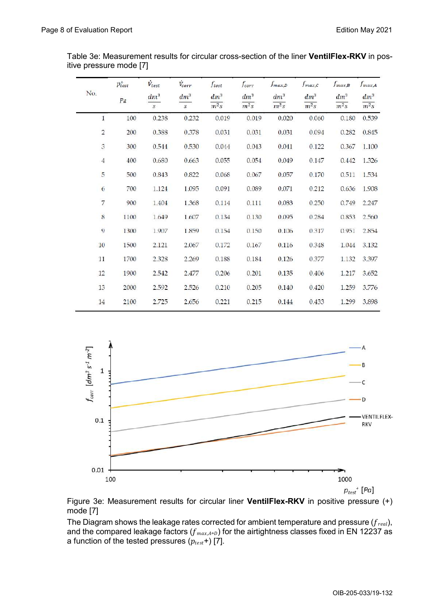|                    | $p_{test}^+$ | $\dot{V}_{\text{test}}$ | $\dot{V}_{corr}$ | ftest  | $f_{corr}$ | $f_{max,D}$ | $f_{max,C}$ | $f_{max,B}$ | $f_{max,A}$       |
|--------------------|--------------|-------------------------|------------------|--------|------------|-------------|-------------|-------------|-------------------|
| No.                | Pa           | $dm^3$                  | $dm^3$           | $dm^3$ | $dm^3$     | $dm^3$      | $dm^3$      | $dm^3$      | $dm^3$            |
|                    |              | S                       | S                | $m^2s$ | $m^2s$     | $m^2s$      | $m^2s$      | $m^2s$      | $\overline{m^2s}$ |
| $\mathbf{1}$       | 100          | 0.238                   | 0.232            | 0.019  | 0.019      | 0.020       | 0.060       | 0.180       | 0.539             |
| $\sqrt{2}$         | 200          | 0.388                   | 0.378            | 0.031  | 0.031      | 0.031       | 0.094       | 0.282       | 0.845             |
| $\mathfrak{Z}$     | 300          | 0.544                   | 0.530            | 0.044  | 0.043      | 0.041       | 0.122       | 0.367       | 1.100             |
| $\overline{4}$     | 400          | 0.680                   | 0.663            | 0.055  | 0.054      | 0.049       | 0.147       | 0.442       | 1.326             |
| 5                  | 500          | 0.843                   | 0.822            | 0.068  | 0.067      | 0.057       | 0.170       | 0.511       | 1.534             |
| 6                  | 700          | 1.124                   | 1.095            | 0.091  | 0.089      | 0.071       | 0.212       | 0.636       | 1.908             |
| $\overline{\bf 7}$ | 900          | 1.404                   | 1.368            | 0.114  | 0.111      | 0.083       | 0.250       | 0.749       | 2.247             |
| 8                  | 1100         | 1.649                   | 1.607            | 0.134  | 0.130      | 0.095       | 0.284       | 0.853       | 2.560             |
| 9                  | 1300         | 1.907                   | 1.859            | 0.154  | 0.150      | 0.106       | 0.317       | 0.951       | 2.854             |
| 10                 | 1500         | 2.121                   | 2.067            | 0.172  | 0.167      | 0.116       | 0.348       | 1.044       | 3.132             |
| 11                 | 1700         | 2.328                   | 2.269            | 0.188  | 0.184      | 0.126       | 0.377       | 1.132       | 3.397             |
| 12                 | 1900         | 2.542                   | 2.477            | 0.206  | 0.201      | 0.135       | 0.406       | 1.217       | 3.652             |
| 13                 | 2000         | 2.592                   | 2.526            | 0.210  | 0.205      | 0.140       | 0.420       | 1.259       | 3.776             |
| $14\,$             | 2100         | 2.725                   | 2.656            | 0.221  | 0.215      | 0.144       | 0.433       | 1.299       | 3.898             |

|                         | Table 3e: Measurement results for circular cross-section of the liner <b>VentilFlex-RKV</b> in pos- |
|-------------------------|-----------------------------------------------------------------------------------------------------|
| itive pressure mode [7] |                                                                                                     |



Figure 3e: Measurement results for circular liner **VentilFlex-RKV** in positive pressure (+) mode [7]

The Diagram shows the leakage rates corrected for ambient temperature and pressure  $(f_{real})$ , and the compared leakage factors ( $f_{max,A+D}$ ) for the airtightness classes fixed in EN 12237 as a function of the tested pressures  $(p_{test}+)$  [7].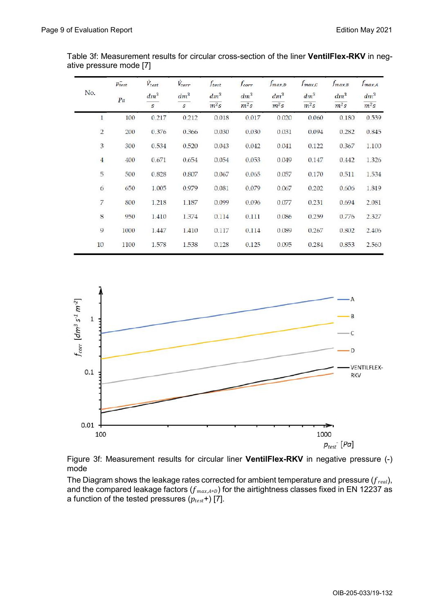|                | $p_{test}$ | $\dot{V}_{test}$ | $\dot{V}_{corr}$           | $f_{test}$       | fcorr            | $f_{max,D}$      | $f_{max,C}$      | $f_{max,B}$      | $f_{max,A}$      |
|----------------|------------|------------------|----------------------------|------------------|------------------|------------------|------------------|------------------|------------------|
| No.            | Pa         | $dm^3$<br>s      | $dm^3$<br>$\boldsymbol{S}$ | $dm^3$<br>$m^2s$ | $dm^3$<br>$m^2s$ | $dm^3$<br>$m^2s$ | $dm^3$<br>$m^2s$ | $dm^3$<br>$m^2s$ | $dm^3$<br>$m^2s$ |
| $\mathbf{1}$   | 100        | 0.217            | 0.212                      | 0.018            | 0.017            | 0.020            | 0.060            | 0.180            | 0.539            |
| $\mathbf 2$    | 200        | 0.376            | 0.366                      | 0.030            | 0.030            | 0.031            | 0.094            | 0.282            | 0.845            |
| 3              | 300        | 0.534            | 0.520                      | 0.043            | 0.042            | 0.041            | 0.122            | 0.367            | 1.100            |
| $\overline{4}$ | 400        | 0.671            | 0.654                      | 0.054            | 0.053            | 0.049            | 0.147            | 0.442            | 1.326            |
| 5              | 500        | 0.828            | 0.807                      | 0.067            | 0.065            | 0.057            | 0.170            | 0.511            | 1.534            |
| 6              | 650        | 1.005            | 0.979                      | 0.081            | 0.079            | 0.067            | 0.202            | 0.606            | 1.819            |
| 7              | 800        | 1.218            | 1.187                      | 0.099            | 0.096            | 0.077            | 0.231            | 0.694            | 2.081            |
| $\bf 8$        | 950        | 1.410            | 1.374                      | 0.114            | 0.111            | 0.086            | 0.259            | 0.776            | 2.327            |
| 9              | 1000       | 1.447            | 1.410                      | 0.117            | 0.114            | 0.089            | 0.267            | 0.802            | 2.406            |
| 10             | 1100       | 1.578            | 1.538                      | 0.128            | 0.125            | 0.095            | 0.284            | 0.853            | 2.560            |

Table 3f: Measurement results for circular cross-section of the liner **VentilFlex-RKV** in negative pressure mode [7]



Figure 3f: Measurement results for circular liner **VentilFlex-RKV** in negative pressure (-) mode

The Diagram shows the leakage rates corrected for ambient temperature and pressure ( $f_{\text{real}}$ ), and the compared leakage factors ( $f_{max,A+D}$ ) for the airtightness classes fixed in EN 12237 as a function of the tested pressures  $(p_{test}+)$  [7].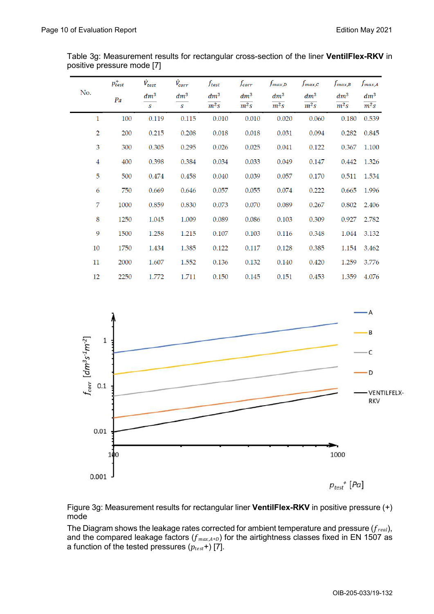|                         | $p_{test}^+$ | $\dot{V}_{test}$ | $\dot{V}_{corr}$ | $f_{\mathit{test}}$ | fcorr  | $f_{max,D}$ | $f_{max,C}$ | $f_{max,B}$ | $f_{max,A}$       |
|-------------------------|--------------|------------------|------------------|---------------------|--------|-------------|-------------|-------------|-------------------|
| No.                     | Pa           | $dm^3$           | $dm^3$           | $dm^3$              | $dm^3$ | $dm^3$      | $dm^3$      | $dm^3$      | $dm^3$            |
|                         |              | $\mathcal{S}$    | S                | $m^2s$              | $m^2s$ | $m^2s$      | $m^2s$      | $m^2s$      | $\overline{m^2s}$ |
| 1                       | 100          | 0.119            | 0.115            | 0.010               | 0.010  | 0.020       | 0.060       | 0.180       | 0.539             |
| $\overline{2}$          | 200          | 0.215            | 0.208            | 0.018               | 0.018  | 0.031       | 0.094       | 0.282       | 0.845             |
| 3                       | 300          | 0.305            | 0.295            | 0.026               | 0.025  | 0.041       | 0.122       | 0.367       | 1.100             |
| $\overline{\mathbf{4}}$ | 400          | 0.398            | 0.384            | 0.034               | 0.033  | 0.049       | 0.147       | 0.442       | 1.326             |
| 5                       | 500          | 0.474            | 0.458            | 0.040               | 0.039  | 0.057       | 0.170       | 0.511       | 1.534             |
| 6                       | 750          | 0.669            | 0.646            | 0.057               | 0.055  | 0.074       | 0.222       | 0.665       | 1.996             |
| 7                       | 1000         | 0.859            | 0.830            | 0.073               | 0.070  | 0.089       | 0.267       | 0.802       | 2.406             |
| 8                       | 1250         | 1.045            | 1.009            | 0.089               | 0.086  | 0.103       | 0.309       | 0.927       | 2.782             |
| 9                       | 1500         | 1.258            | 1.215            | 0.107               | 0.103  | 0.116       | 0.348       | 1.044       | 3.132             |
| 10                      | 1750         | 1.434            | 1.385            | 0.122               | 0.117  | 0.128       | 0.385       | 1.154       | 3.462             |
| 11                      | 2000         | 1.607            | 1.552            | 0.136               | 0.132  | 0.140       | 0.420       | 1.259       | 3.776             |
| 12                      | 2250         | 1.772            | 1.711            | 0.150               | 0.145  | 0.151       | 0.453       | 1.359       | 4.076             |

Table 3g: Measurement results for rectangular cross-section of the liner **VentilFlex-RKV** in positive pressure mode [7]



Figure 3g: Measurement results for rectangular liner **VentilFlex-RKV** in positive pressure (+) mode

The Diagram shows the leakage rates corrected for ambient temperature and pressure  $(f_{\text{real}})$ , and the compared leakage factors ( $f_{max,A+D}$ ) for the airtightness classes fixed in EN 1507 as a function of the tested pressures  $(p_{test}+)$  [7].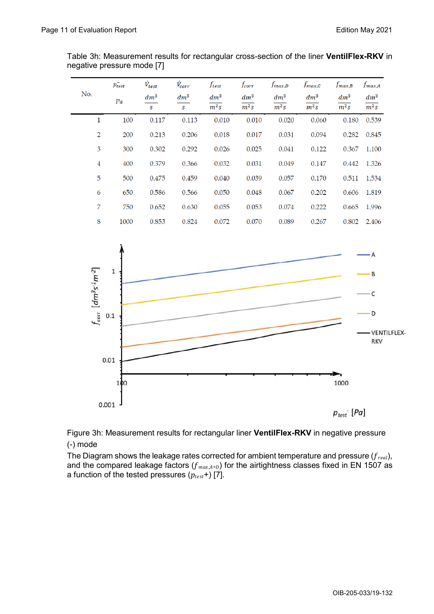| No.                         | $p_{test}^-$ | $\dot{V}_{test}$<br>$dm^3$ | $\dot{V}_{corr}$<br>$dm^3$ | $f_{\mathit{test}}$<br>$dm^3$ | $f_{corr}$<br>$dm^3$ | $f_{max,D}$<br>$dm^3$ | $f_{max,C}$<br>$dm^3$ | $f_{max,B}$<br>$dm^3$ | $f_{max,A}$<br>$dm^3$ |
|-----------------------------|--------------|----------------------------|----------------------------|-------------------------------|----------------------|-----------------------|-----------------------|-----------------------|-----------------------|
|                             | Pa           | $\mathcal{S}$              | $\mathcal{S}$              | $\overline{m^2s}$             | $\overline{m^2s}$    | $\overline{m^2s}$     | $\overline{m^2s}$     | $\overline{m^2s}$     | $m^2s$                |
| $\mathbf{1}$                | 100          | 0.117                      | 0.113                      | 0.010                         | 0.010                | 0.020                 | 0.060                 | 0.180                 | 0.539                 |
| $\overline{2}$              | 200          | 0.213                      | 0.206                      | 0.018                         | 0.017                | 0.031                 | 0.094                 | 0.282                 | 0.845                 |
| 3                           | 300          | 0.302                      | 0.292                      | 0.026                         | 0.025                | 0.041                 | 0.122                 | 0.367                 | 1.100                 |
| $\overline{4}$              | 400          | 0.379                      | 0.366                      | 0.032                         | 0.031                | 0.049                 | 0.147                 | 0.442                 | 1.326                 |
| 5                           | 500          | 0.475                      | 0.459                      | 0.040                         | 0.039                | 0.057                 | 0.170                 | 0.511                 | 1.534                 |
| 6                           | 650          | 0.586                      | 0.566                      | 0.050                         | 0.048                | 0.067                 | 0.202                 | 0.606                 | 1.819                 |
| 7                           | 750          | 0.652                      | 0.630                      | 0.055                         | 0.053                | 0.074                 | 0.222                 | 0.665                 | 1.996                 |
| $\,8\,$                     | 1000         | 0.853                      | 0.824                      | 0.072                         | 0.070                | 0.089                 | 0.267                 | 0.802                 | 2.406                 |
|                             |              |                            |                            |                               |                      |                       |                       |                       |                       |
|                             |              |                            |                            |                               |                      |                       |                       |                       |                       |
|                             | $1\,$        |                            |                            |                               |                      |                       |                       |                       | В                     |
|                             |              |                            |                            |                               |                      |                       |                       |                       |                       |
| $f_{corr}$ [ $dm^3s^1m^2$ ] | $0.1\,$      |                            |                            |                               |                      |                       |                       |                       | D                     |

Table 3h: Measurement results for rectangular cross-section of the liner **VentilFlex-RKV** in negative pressure mode [7]



Figure 3h: Measurement results for rectangular liner **VentilFlex-RKV** in negative pressure (-) mode

The Diagram shows the leakage rates corrected for ambient temperature and pressure  $(f_{real})$ , and the compared leakage factors ( $f_{max,A+D}$ ) for the airtightness classes fixed in EN 1507 as a function of the tested pressures  $(p_{test}+)$  [7].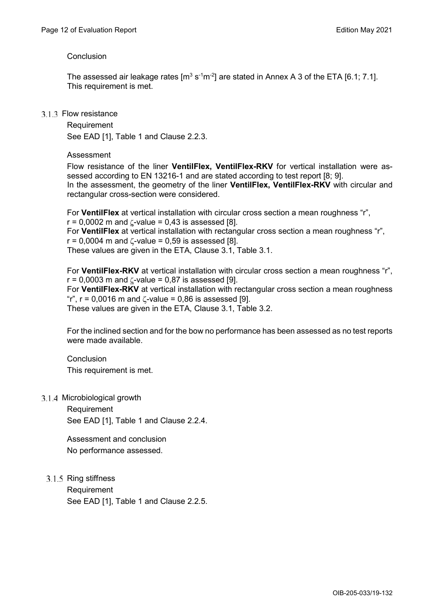# Conclusion

The assessed air leakage rates [m $^3$  s<sup>-1</sup>m<sup>-2</sup>] are stated in Annex A 3 of the ETA [6.1; 7.1]. This requirement is met.

# 3.1.3 Flow resistance

**Requirement** See EAD [1], Table 1 and Clause 2.2.3.

# Assessment

Flow resistance of the liner **VentilFlex, VentilFlex-RKV** for vertical installation were assessed according to EN 13216-1 and are stated according to test report [8; 9]. In the assessment, the geometry of the liner **VentilFlex, VentilFlex-RKV** with circular and rectangular cross-section were considered.

For **VentilFlex** at vertical installation with circular cross section a mean roughness "r",  $r = 0.0002$  m and  $\zeta$ -value = 0.43 is assessed [8]. For **VentilFlex** at vertical installation with rectangular cross section a mean roughness "r",  $r = 0.0004$  m and  $\zeta$ -value = 0.59 is assessed [8]. These values are given in the ETA, Clause 3.1, Table 3.1.

For **VentilFlex-RKV** at vertical installation with circular cross section a mean roughness "r",  $r = 0.0003$  m and  $\zeta$ -value = 0.87 is assessed [9]. For **VentilFlex-RKV** at vertical installation with rectangular cross section a mean roughness "r",  $r = 0,0016$  m and  $\zeta$ -value = 0,86 is assessed [9]. These values are given in the ETA, Clause 3.1, Table 3.2.

For the inclined section and for the bow no performance has been assessed as no test reports were made available.

# Conclusion This requirement is met.

3.1.4 Microbiological growth

Requirement See EAD [1], Table 1 and Clause 2.2.4.

Assessment and conclusion No performance assessed.

3.1.5 Ring stiffness

Requirement See EAD [1], Table 1 and Clause 2.2.5.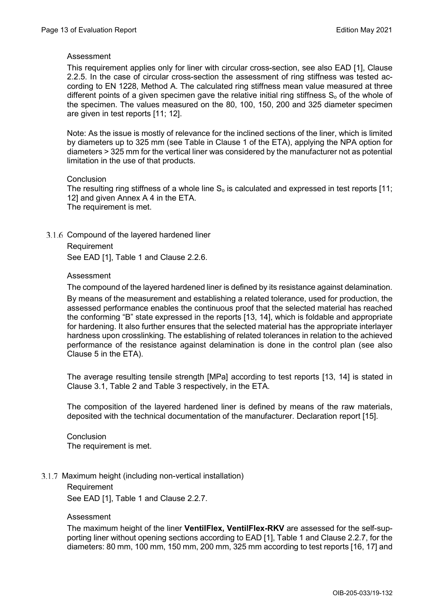# Assessment

This requirement applies only for liner with circular cross-section, see also EAD [1], Clause 2.2.5. In the case of circular cross-section the assessment of ring stiffness was tested according to EN 1228, Method A. The calculated ring stiffness mean value measured at three different points of a given specimen gave the relative initial ring stiffness  $S<sub>o</sub>$  of the whole of the specimen. The values measured on the 80, 100, 150, 200 and 325 diameter specimen are given in test reports [11; 12].

Note: As the issue is mostly of relevance for the inclined sections of the liner, which is limited by diameters up to 325 mm (see Table in Clause 1 of the ETA), applying the NPA option for diameters > 325 mm for the vertical liner was considered by the manufacturer not as potential limitation in the use of that products.

# **Conclusion**

The resulting ring stiffness of a whole line  $S_0$  is calculated and expressed in test reports [11; 12] and given Annex A 4 in the ETA. The requirement is met.

3.1.6 Compound of the layered hardened liner Requirement

See EAD [1], Table 1 and Clause 2.2.6.

# Assessment

The compound of the layered hardened liner is defined by its resistance against delamination.

By means of the measurement and establishing a related tolerance, used for production, the assessed performance enables the continuous proof that the selected material has reached the conforming "B" state expressed in the reports [13, 14], which is foldable and appropriate for hardening. It also further ensures that the selected material has the appropriate interlayer hardness upon crosslinking. The establishing of related tolerances in relation to the achieved performance of the resistance against delamination is done in the control plan (see also Clause 5 in the ETA).

The average resulting tensile strength [MPa] according to test reports [13, 14] is stated in Clause 3.1, Table 2 and Table 3 respectively, in the ETA.

The composition of the layered hardened liner is defined by means of the raw materials, deposited with the technical documentation of the manufacturer. Declaration report [15].

**Conclusion** The requirement is met.

3.1.7 Maximum height (including non-vertical installation)

Requirement See EAD [1], Table 1 and Clause 2.2.7.

#### Assessment

The maximum height of the liner **VentilFlex, VentilFlex-RKV** are assessed for the self-supporting liner without opening sections according to EAD [1], Table 1 and Clause 2.2.7, for the diameters: 80 mm, 100 mm, 150 mm, 200 mm, 325 mm according to test reports [16, 17] and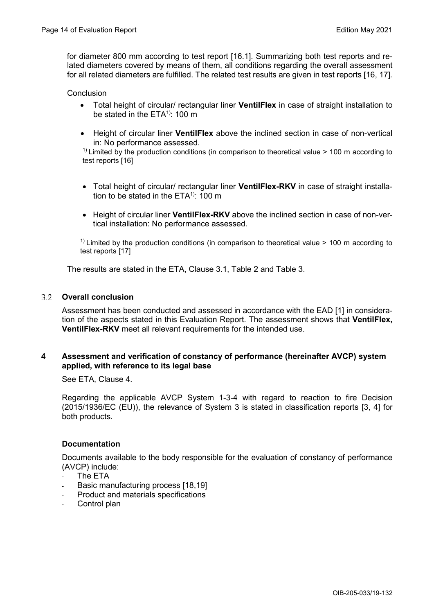for diameter 800 mm according to test report [16.1]. Summarizing both test reports and related diameters covered by means of them, all conditions regarding the overall assessment for all related diameters are fulfilled. The related test results are given in test reports [16, 17]*.*

# **Conclusion**

- Total height of circular/ rectangular liner **VentilFlex** in case of straight installation to be stated in the  $ETA^{(1)}$ : 100 m
- Height of circular liner **VentilFlex** above the inclined section in case of non-vertical in: No performance assessed.

 $<sup>1</sup>$  Limited by the production conditions (in comparison to theoretical value > 100 m according to</sup> test reports [16]

- Total height of circular/ rectangular liner **VentilFlex-RKV** in case of straight installation to be stated in the  $ETA^{1}$ : 100 m
- Height of circular liner **VentilFlex-RKV** above the inclined section in case of non-vertical installation: No performance assessed.

 $<sup>1</sup>$  Limited by the production conditions (in comparison to theoretical value > 100 m according to</sup> test reports [17]

The results are stated in the ETA, Clause 3.1, Table 2 and Table 3.

#### $3.2$ **Overall conclusion**

Assessment has been conducted and assessed in accordance with the EAD [1] in consideration of the aspects stated in this Evaluation Report. The assessment shows that **VentilFlex, VentilFlex-RKV** meet all relevant requirements for the intended use.

# **4 Assessment and verification of constancy of performance (hereinafter AVCP) system applied, with reference to its legal base**

See ETA, Clause 4.

Regarding the applicable AVCP System 1-3-4 with regard to reaction to fire Decision (2015/1936/EC (EU)), the relevance of System 3 is stated in classification reports [3, 4] for both products.

# **Documentation**

Documents available to the body responsible for the evaluation of constancy of performance (AVCP) include:

- The FTA
- Basic manufacturing process [18,19]
- Product and materials specifications
- Control plan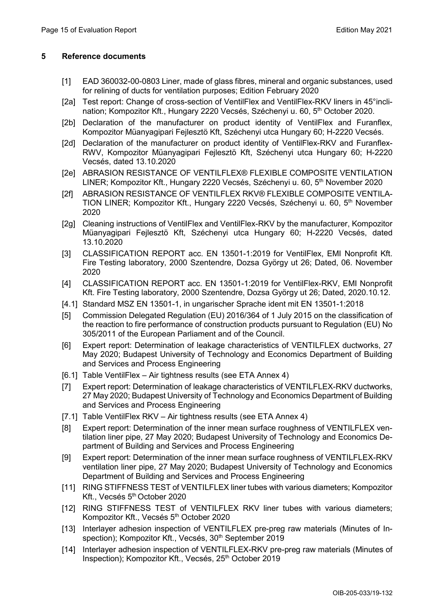# **5 Reference documents**

- [1] EAD 360032-00-0803 Liner, made of glass fibres, mineral and organic substances, used for relining of ducts for ventilation purposes; Edition February 2020
- [2a] Test report: Change of cross-section of VentilFlex and VentilFlex-RKV liners in 45°inclination; Kompozitor Kft., Hungary 2220 Vecsés, Széchenyi u. 60, 5<sup>th</sup> October 2020.
- [2b] Declaration of the manufacturer on product identity of VentilFlex and Furanflex, Kompozitor Müanyagipari Fejlesztö Kft, Széchenyi utca Hungary 60; H-2220 Vecsés.
- [2d] Declaration of the manufacturer on product identity of VentilFlex-RKV and Furanflex-RWV, Kompozitor Müanyagipari Fejlesztö Kft, Széchenyi utca Hungary 60; H-2220 Vecsés, dated 13.10.2020
- [2e] ABRASION RESISTANCE OF VENTILFLEX® FLEXIBLE COMPOSITE VENTILATION LINER; Kompozitor Kft., Hungary 2220 Vecsés, Széchenyi u. 60, 5<sup>th</sup> November 2020
- [2f] ABRASION RESISTANCE OF VENTILFLEX RKV® FLEXIBLE COMPOSITE VENTILA-TION LINER; Kompozitor Kft., Hungary 2220 Vecsés, Széchenyi u. 60, 5<sup>th</sup> November 2020
- [2g] Cleaning instructions of VentilFlex and VentilFlex-RKV by the manufacturer, Kompozitor Müanyagipari Fejlesztö Kft, Széchenyi utca Hungary 60; H-2220 Vecsés, dated 13.10.2020
- [3] CLASSIFICATION REPORT acc. EN 13501-1:2019 for VentilFlex, EMI Nonprofit Kft. Fire Testing laboratory, 2000 Szentendre, Dozsa György ut 26; Dated, 06. November 2020
- [4] CLASSIFICATION REPORT acc. EN 13501-1:2019 for VentilFlex-RKV, EMI Nonprofit Kft. Fire Testing laboratory, 2000 Szentendre, Dozsa György ut 26; Dated, 2020.10.12.
- [4.1] Standard MSZ EN 13501-1, in ungarischer Sprache ident mit EN 13501-1:2018
- [5] Commission Delegated Regulation (EU) 2016/364 of 1 July 2015 on the classification of the reaction to fire performance of construction products pursuant to Regulation (EU) No 305/2011 of the European Parliament and of the Council.
- [6] Expert report: Determination of leakage characteristics of VENTILFLEX ductworks, 27 May 2020; Budapest University of Technology and Economics Department of Building and Services and Process Engineering
- [6.1] Table VentilFlex Air tightness results (see ETA Annex 4)
- [7] Expert report: Determination of leakage characteristics of VENTILFLEX-RKV ductworks, 27 May 2020; Budapest University of Technology and Economics Department of Building and Services and Process Engineering
- [7.1] Table VentilFlex RKV Air tightness results (see ETA Annex 4)
- [8] Expert report: Determination of the inner mean surface roughness of VENTILFLEX ventilation liner pipe, 27 May 2020; Budapest University of Technology and Economics Department of Building and Services and Process Engineering
- [9] Expert report: Determination of the inner mean surface roughness of VENTILFLEX-RKV ventilation liner pipe, 27 May 2020; Budapest University of Technology and Economics Department of Building and Services and Process Engineering
- [11] RING STIFFNESS TEST of VENTILFLEX liner tubes with various diameters; Kompozitor Kft., Vecsés 5<sup>th</sup> October 2020
- [12] RING STIFFNESS TEST of VENTILFLEX RKV liner tubes with various diameters; Kompozitor Kft., Vecsés 5<sup>th</sup> October 2020
- [13] Interlayer adhesion inspection of VENTILFLEX pre-preg raw materials (Minutes of Inspection); Kompozitor Kft., Vecsés, 30<sup>th</sup> September 2019
- [14] Interlayer adhesion inspection of VENTILFLEX-RKV pre-preg raw materials (Minutes of Inspection); Kompozitor Kft., Vecsés, 25<sup>th</sup> October 2019